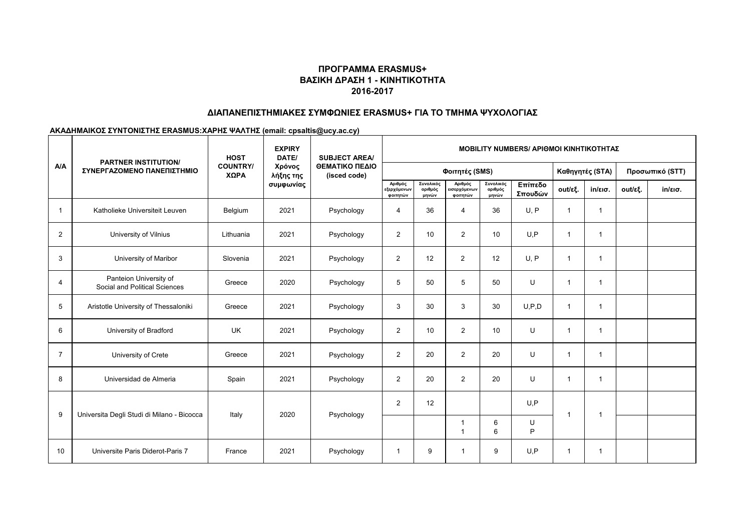#### **ΔΙΑΠΑΝΕΠΙΣΤΗΜΙΑΚΕΣ ΣΥΜΦΩΝΙΕΣ ERASMUS+ ΓΙΑ ΤΟ ΤΜΗΜΑ ΨΥΧΟΛΟΓΙΑΣ**

|                |                                                           | <b>HOST</b>             | <b>EXPIRY</b><br>DATE/           | <b>SUBJECT AREA/</b><br>ΘΕΜΑΤΙΚΟ ΠΕΔΙΟ<br>(isced code) | <b>MOBILITY NUMBERS/ APIOMOI KINHTIKOTHTAZ</b> |                               |                                    |                               |                    |         |                   |                 |                   |  |
|----------------|-----------------------------------------------------------|-------------------------|----------------------------------|--------------------------------------------------------|------------------------------------------------|-------------------------------|------------------------------------|-------------------------------|--------------------|---------|-------------------|-----------------|-------------------|--|
| A/A            | <b>PARTNER INSTITUTION/</b><br>ΣΥΝΕΡΓΑΖΟΜΕΝΟ ΠΑΝΕΠΙΣΤΗΜΙΟ | <b>COUNTRY/</b><br>ΧΩΡΑ | Χρόνος<br>λήξης της<br>συμφωνίας |                                                        | Φοιτητές (SMS)                                 |                               |                                    |                               |                    |         | Καθηγητές (STA)   | Προσωπικό (STT) |                   |  |
|                |                                                           |                         |                                  |                                                        | Αριθμός<br>εξερχόμενων<br>φοιτητών             | Συνολικός<br>αριθμός<br>μηνών | Αριθμός<br>ισερχόμενων<br>φοιτητών | Συνολικός<br>αριθμός<br>μηνών | Επίπεδο<br>Σπουδών | out/εξ. | $in/\epsilon$ ισ. | out/εξ.         | $in/\epsilon$ ισ. |  |
| $\mathbf{1}$   | Katholieke Universiteit Leuven                            | Belgium                 | 2021                             | Psychology                                             | $\overline{4}$                                 | 36                            | 4                                  | 36                            | U, P               | 1       | $\mathbf{1}$      |                 |                   |  |
| $\overline{2}$ | University of Vilnius                                     | Lithuania               | 2021                             | Psychology                                             | $\overline{a}$                                 | 10                            | $\overline{2}$                     | 10                            | U, P               | 1       | $\mathbf{1}$      |                 |                   |  |
| 3              | University of Maribor                                     | Slovenia                | 2021                             | Psychology                                             | $\overline{2}$                                 | 12                            | 2                                  | 12                            | U, P               | 1       | $\mathbf{1}$      |                 |                   |  |
| 4              | Panteion University of<br>Social and Political Sciences   | Greece                  | 2020                             | Psychology                                             | 5                                              | 50                            | 5                                  | 50                            | U                  | 1       | $\mathbf{1}$      |                 |                   |  |
| 5              | Aristotle University of Thessaloniki                      | Greece                  | 2021                             | Psychology                                             | 3                                              | 30                            | 3                                  | 30                            | U, P, D            | 1       | $\mathbf{1}$      |                 |                   |  |
| 6              | University of Bradford                                    | <b>UK</b>               | 2021                             | Psychology                                             | $\overline{a}$                                 | 10                            | $\overline{2}$                     | 10                            | U                  | 1       | $\mathbf{1}$      |                 |                   |  |
| $\overline{7}$ | University of Crete                                       | Greece                  | 2021                             | Psychology                                             | $\overline{2}$                                 | 20                            | $\overline{2}$                     | 20                            | U                  | 1       | $\mathbf 1$       |                 |                   |  |
| 8              | Universidad de Almeria                                    | Spain                   | 2021                             | Psychology                                             | $\overline{\mathbf{c}}$                        | 20                            | $\overline{2}$                     | 20                            | U                  | 1       | $\mathbf{1}$      |                 |                   |  |
| 9              | Universita Degli Studi di Milano - Bicocca                | Italy                   | 2020                             | Psychology                                             | 2                                              | 12                            |                                    |                               | U, P               | -1      | -1                |                 |                   |  |
|                |                                                           |                         |                                  |                                                        |                                                |                               | -1<br>$\overline{1}$               | 6<br>6                        | U<br>P             |         |                   |                 |                   |  |
| 10             | Universite Paris Diderot-Paris 7                          | France                  | 2021                             | Psychology                                             | 1                                              | 9                             | 1                                  | 9                             | U.P                | 1       | $\mathbf 1$       |                 |                   |  |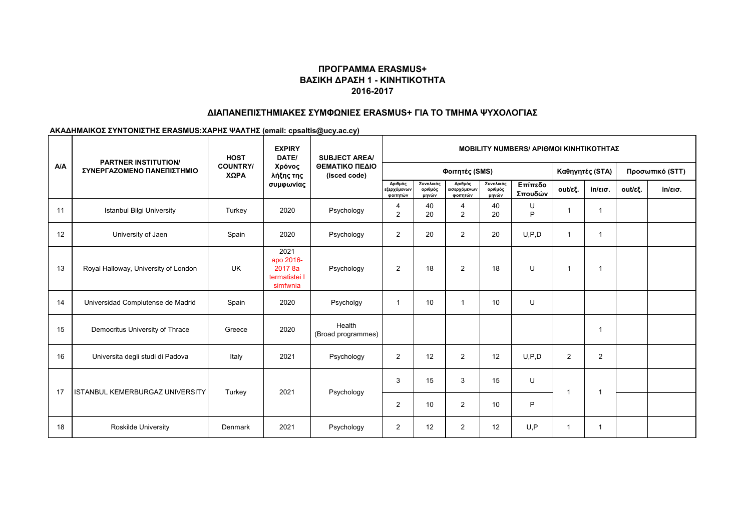#### **ΔΙΑΠΑΝΕΠΙΣΤΗΜΙΑΚΕΣ ΣΥΜΦΩΝΙΕΣ ERASMUS+ ΓΙΑ ΤΟ ΤΜΗΜΑ ΨΥΧΟΛΟΓΙΑΣ**

|            | <b>PARTNER INSTITUTION/</b><br>ΣΥΝΕΡΓΑΖΟΜΕΝΟ ΠΑΝΕΠΙΣΤΗΜΙΟ | <b>HOST</b><br><b>COUNTRY/</b><br>ΧΩΡΑ | <b>EXPIRY</b><br>DATE/<br>Χρόνος<br>λήξης της<br>συμφωνίας | <b>SUBJECT AREA/</b><br>ΘΕΜΑΤΙΚΟ ΠΕΔΙΟ<br>(isced code) | <b>MOBILITY NUMBERS/ APIOMOI KINHTIKOTHTAZ</b> |                               |                                     |                               |                    |                |                   |                 |                   |  |
|------------|-----------------------------------------------------------|----------------------------------------|------------------------------------------------------------|--------------------------------------------------------|------------------------------------------------|-------------------------------|-------------------------------------|-------------------------------|--------------------|----------------|-------------------|-----------------|-------------------|--|
| <b>A/A</b> |                                                           |                                        |                                                            |                                                        | Φοιτητές (SMS)                                 |                               |                                     |                               |                    |                | Καθηγητές (STA)   | Προσωπικό (STT) |                   |  |
|            |                                                           |                                        |                                                            |                                                        | Αριθμός<br>εξερχόμενων<br>φοιτητών             | Συνολικός<br>αριθμός<br>μηνών | Αριθμός<br>εισερχόμενων<br>φοιτητών | Συνολικός<br>αριθμός<br>μηνών | Επίπεδο<br>Σπουδών | out/εξ.        | $in/\epsilon$ ισ. | out/εξ.         | $in/\epsilon$ ισ. |  |
| 11         | <b>Istanbul Bilgi University</b>                          | Turkey                                 | 2020                                                       | Psychology                                             | 4<br>$\overline{2}$                            | 40<br>20                      | 4<br>$\overline{2}$                 | 40<br>20                      | U<br>P             |                | $\mathbf 1$       |                 |                   |  |
| 12         | University of Jaen                                        | Spain                                  | 2020                                                       | Psychology                                             | $\overline{c}$                                 | 20                            | $\overline{2}$                      | 20                            | U, P, D            |                | -1                |                 |                   |  |
| 13         | Royal Halloway, University of London                      | <b>UK</b>                              | 2021<br>apo 2016-<br>2017 8a<br>termatistei I<br>simfwnia  | Psychology                                             | $\overline{2}$                                 | 18                            | $\overline{2}$                      | 18                            | U                  | 1              | $\mathbf 1$       |                 |                   |  |
| 14         | Universidad Complutense de Madrid                         | Spain                                  | 2020                                                       | Psycholgy                                              | -1                                             | 10                            | -1                                  | 10                            | U                  |                |                   |                 |                   |  |
| 15         | Democritus University of Thrace                           | Greece                                 | 2020                                                       | Health<br>(Broad programmes)                           |                                                |                               |                                     |                               |                    |                | -1                |                 |                   |  |
| 16         | Universita degli studi di Padova                          | Italy                                  | 2021                                                       | Psychology                                             | $\overline{2}$                                 | 12                            | 2                                   | 12                            | U.P.D              | $\overline{2}$ | 2                 |                 |                   |  |
| 17         | ISTANBUL KEMERBURGAZ UNIVERSITY                           | Turkey                                 | 2021                                                       | Psychology                                             | 3                                              | 15                            | 3                                   | 15                            | U                  |                | $\overline{1}$    |                 |                   |  |
|            |                                                           |                                        |                                                            |                                                        | $\overline{2}$                                 | 10                            | 2                                   | 10                            | P                  |                |                   |                 |                   |  |
| 18         | <b>Roskilde University</b>                                | Denmark                                | 2021                                                       | Psychology                                             | $\overline{2}$                                 | 12                            | $\overline{2}$                      | 12                            | U.P                | 1              | $\mathbf{1}$      |                 |                   |  |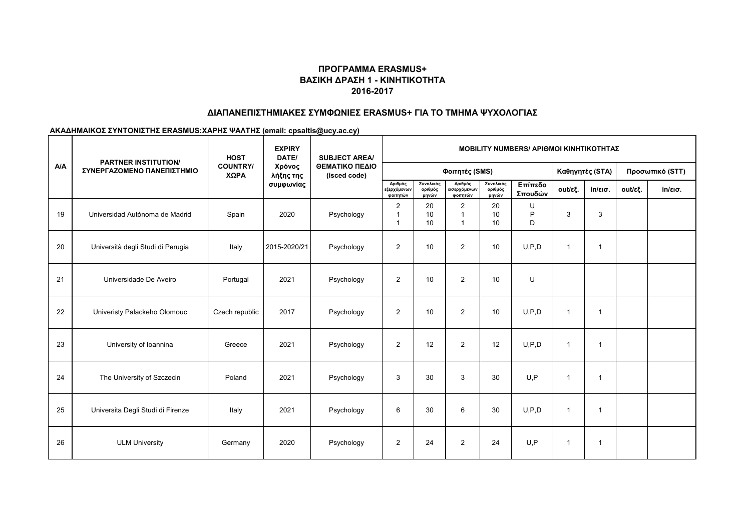#### **ΔΙΑΠΑΝΕΠΙΣΤΗΜΙΑΚΕΣ ΣΥΜΦΩΝΙΕΣ ERASMUS+ ΓΙΑ ΤΟ ΤΜΗΜΑ ΨΥΧΟΛΟΓΙΑΣ**

|            | <b>PARTNER INSTITUTION/</b><br>ΣΥΝΕΡΓΑΖΟΜΕΝΟ ΠΑΝΕΠΙΣΤΗΜΙΟ | <b>HOST</b><br><b>COUNTRY/</b><br>ΧΩΡΑ | <b>EXPIRY</b><br>DATE/<br>Χρόνος<br>λήξης της<br>συμφωνίας | <b>SUBJECT AREA/</b><br>ΘΕΜΑΤΙΚΟ ΠΕΔΙΟ<br>(isced code) | <b>MOBILITY NUMBERS/ APIOMOI KINHTIKOTHTAZ</b> |                               |                                                   |                               |                    |                |                   |         |                   |  |
|------------|-----------------------------------------------------------|----------------------------------------|------------------------------------------------------------|--------------------------------------------------------|------------------------------------------------|-------------------------------|---------------------------------------------------|-------------------------------|--------------------|----------------|-------------------|---------|-------------------|--|
| <b>A/A</b> |                                                           |                                        |                                                            |                                                        |                                                |                               | Φοιτητές (SMS)                                    |                               | Καθηγητές (STA)    |                | Προσωπικό (STT)   |         |                   |  |
|            |                                                           |                                        |                                                            |                                                        | Αριθμός<br>εξερχόμενων<br>φοιτητών             | Συνολικός<br>αριθμός<br>μηνών | Αριθμός<br>εισερχόμ <mark>ενων</mark><br>φοιτητών | Συνολικός<br>αριθμός<br>μηνών | Επίπεδο<br>Σπουδών | out/εξ.        | $in/\epsilon$ ισ. | out/εξ. | $in/\epsilon$ ισ. |  |
| 19         | Universidad Autónoma de Madrid                            | Spain                                  | 2020                                                       | Psychology                                             | $\overline{2}$<br>1<br>$\overline{\mathbf{1}}$ | 20<br>10<br>10 <sup>1</sup>   | $\overline{2}$<br>$\mathbf{1}$<br>$\mathbf{1}$    | 20<br>10<br>10                | U<br>P<br>D        | 3              | 3                 |         |                   |  |
| 20         | Università degli Studi di Perugia                         | Italy                                  | 2015-2020/21                                               | Psychology                                             | $\overline{c}$                                 | 10 <sup>1</sup>               | $\overline{2}$                                    | 10                            | U, P, D            | 1              | $\mathbf{1}$      |         |                   |  |
| 21         | Universidade De Aveiro                                    | Portugal                               | 2021                                                       | Psychology                                             | $\overline{2}$                                 | 10                            | $\overline{2}$                                    | 10                            | U                  |                |                   |         |                   |  |
| 22         | Univeristy Palackeho Olomouc                              | Czech republic                         | 2017                                                       | Psychology                                             | $\overline{2}$                                 | 10                            | 2                                                 | 10                            | U.P.D              | $\mathbf 1$    | $\mathbf{1}$      |         |                   |  |
| 23         | University of Ioannina                                    | Greece                                 | 2021                                                       | Psychology                                             | $\overline{2}$                                 | 12                            | 2                                                 | 12                            | U.P.D              | $\overline{1}$ | $\overline{1}$    |         |                   |  |
| 24         | The University of Szczecin                                | Poland                                 | 2021                                                       | Psychology                                             | 3                                              | 30                            | 3                                                 | 30                            | U.P                | -1             | $\mathbf{1}$      |         |                   |  |
| 25         | Universita Degli Studi di Firenze                         | Italy                                  | 2021                                                       | Psychology                                             | 6                                              | 30                            | 6                                                 | 30                            | U, P, D            | $\mathbf{1}$   | $\overline{1}$    |         |                   |  |
| 26         | <b>ULM University</b>                                     | Germany                                | 2020                                                       | Psychology                                             | $\overline{2}$                                 | 24                            | $\overline{2}$                                    | 24                            | U.P                | 1              | $\mathbf{1}$      |         |                   |  |